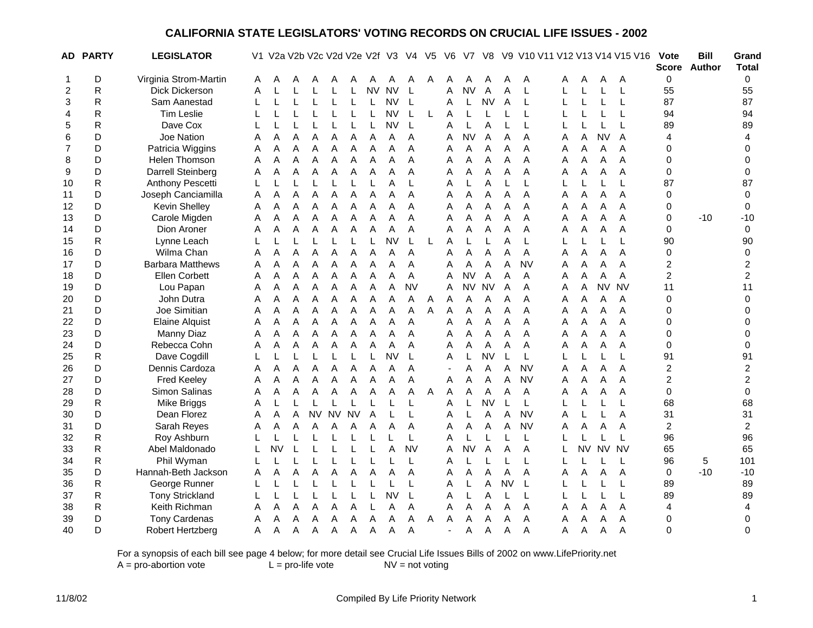|                | AD PARTY     | <b>LEGISLATOR</b>       |   | V1 V2a V2b V2c V2d V2e V2f V3 |   |           |           |           |           |           | V4          | V <sub>5</sub> | V <sub>6</sub> | V7        | V8        |           |           |   |           |           | V9 V10 V11 V12 V13 V14 V15 V16 | <b>Vote</b>             | <b>Bill</b><br>Score Author | Grand<br><b>Total</b>   |
|----------------|--------------|-------------------------|---|-------------------------------|---|-----------|-----------|-----------|-----------|-----------|-------------|----------------|----------------|-----------|-----------|-----------|-----------|---|-----------|-----------|--------------------------------|-------------------------|-----------------------------|-------------------------|
| $\mathbf 1$    | D            | Virginia Strom-Martin   | Α | А                             |   |           |           |           |           |           |             | Α              | Α              | Α         |           |           | A         | A | A         | Α         | A                              | $\mathbf 0$             |                             | 0                       |
| $\overline{2}$ | $\mathsf{R}$ | Dick Dickerson          | Α |                               |   |           |           |           | <b>NV</b> | <b>NV</b> | L           |                | Α              | <b>NV</b> | A         | A         | L         |   | L         | L         | L                              | 55                      |                             | 55                      |
| 3              | R            | Sam Aanestad            |   |                               |   |           |           |           |           | <b>NV</b> | L           |                | Α              | L         | <b>NV</b> | A         | L         |   |           | L         | L                              | 87                      |                             | 87                      |
| 4              | R            | <b>Tim Leslie</b>       |   |                               |   |           |           |           |           | <b>NV</b> | L           | L              | Α              | L         |           |           | L         |   | L         | L         | L                              | 94                      |                             | 94                      |
| 5              | R            | Dave Cox                |   |                               |   |           |           |           |           | <b>NV</b> | L           |                | Α              | L         | A         |           | L         |   |           |           | L                              | 89                      |                             | 89                      |
| 6              | D            | Joe Nation              | Α | Α                             | A | Α         | Α         | Α         | Α         | Α         | Α           |                | Α              | <b>NV</b> | A         | Α         | A         | А | Α         | <b>NV</b> | A                              | 4                       |                             | 4                       |
| 7              | D            | Patricia Wiggins        | A | A                             | A | A         | Α         | A         | A         | Α         | A           |                | Α              | Α         | A         | A         | Α         | A | Α         | А         | A                              | 0                       |                             | $\Omega$                |
| 8              | D            | Helen Thomson           | Α | A                             | Α | Α         | Α         | Α         | A         | A         | A           |                | Α              | Α         | A         | A         | A         | Α | Α         | Α         | Α                              | 0                       |                             | 0                       |
| 9              | D            | Darrell Steinberg       | A | A                             | A | A         | Α         | Α         | A         | A         | A           |                | А              | Α         | A         | A         | A         | A | Α         | Α         | A                              | 0                       |                             | 0                       |
| 10             | R            | Anthony Pescetti        | L |                               |   |           |           |           |           | A         | L           |                | Α              | L         | A         | L         | L         |   |           | L         | L                              | 87                      |                             | 87                      |
| 11             | D            | Joseph Canciamilla      | Α | Α                             | Α | Α         | Α         | Α         | Α         | Α         | A           |                | Α              | Α         | Α         | Α         | Α         | Α | Α         | Α         | Α                              | $\mathbf 0$             |                             | $\mathbf 0$             |
| 12             | D            | Kevin Shelley           | Α | А                             | А | Α         | A         | A         | Α         | Α         | Α           |                | A              | Α         | A         | A         | A         | Α | А         | А         | Α                              | 0                       |                             | 0                       |
| 13             | D            | Carole Migden           | A | A                             | Α | A         | Α         | A         | Α         | A         | A           |                | A              | Α         | A         | A         | A         | A | A         | A         | A                              | 0                       | $-10$                       | $-10$                   |
| 14             | D            | Dion Aroner             | A | A                             | Α | A         | A         | A         | Α         | Α         | A           |                | Α              | Α         | Α         | A         | A         | A | Α         | Α         | A                              | $\mathbf 0$             |                             | $\mathbf 0$             |
| 15             | R            | Lynne Leach             |   |                               | L | L         |           |           |           | <b>NV</b> | $\mathsf L$ | L              | A              | L         | L         | A         | L         |   |           | L         | L                              | 90                      |                             | 90                      |
| 16             | D            | Wilma Chan              | Α | Α                             | Α | Α         | A         | A         | A         | Α         | A           |                | A              | Α         | Α         | Α         | Α         | A | Α         | Α         | A                              | $\mathbf 0$             |                             | 0                       |
| 17             | D            | <b>Barbara Matthews</b> | A | Α                             | Α | Α         | Α         | Α         | Α         | Α         | A           |                | Α              | Α         | Α         | A         | <b>NV</b> | A | Α         | A         | A                              | $\overline{c}$          |                             | $\overline{\mathbf{c}}$ |
| 18             | D            | Ellen Corbett           | A | A                             | Α | A         | Α         | A         | A         | A         | Α           |                | Α              | <b>NV</b> | A         | A         | A         | A | Α         | Α         | A                              | $\overline{c}$          |                             | 2                       |
| 19             | D            | Lou Papan               | Α | A                             | A | A         | Α         | A         | A         | Α         | <b>NV</b>   |                | Α              | <b>NV</b> | <b>NV</b> | A         | A         | A | Α         | <b>NV</b> | <b>NV</b>                      | 11                      |                             | 11                      |
| 20             | D            | John Dutra              | Α | Α                             | A | A         | Α         | Α         | Α         | Α         | Α           | Α              | Α              | Α         | A         | A         | Α         | Α | Α         | Α         | Α                              | $\pmb{0}$               |                             | 0                       |
| 21             | D            | Joe Simitian            | A | A                             | Α | A         | Α         | Α         | A         | Α         | A           | A              | A              | Α         | A         | A         | A         | A | Α         | Α         | A                              | 0                       |                             | 0                       |
| 22             | D            | <b>Elaine Alquist</b>   | A | A                             | A | A         | Α         | A         | A         | A         | A           |                | A              | Α         | A         | A         | A         | A | A         | A         | A                              | 0                       |                             | 0                       |
| 23             | D            | Manny Diaz              | Α | Α                             | Α | A         | Α         | A         | A         | A         | A           |                | Α              | Α         | Α         | A         | Α         | A | Α         | Α         | A                              | 0                       |                             | $\Omega$                |
| 24             | D            | Rebecca Cohn            | A | Α                             | Α | A         | Α         | A         | A         | Α         | A           |                | A              | Α         | Α         | Α         | Α         | A | Α         | Α         | A                              | $\mathbf 0$             |                             | 0                       |
| 25             | ${\sf R}$    | Dave Cogdill            |   |                               |   |           |           |           |           | <b>NV</b> | L           |                | A              | L         | <b>NV</b> | L         | L         |   |           | L         | L                              | 91                      |                             | 91                      |
| 26             | D            | Dennis Cardoza          | Α | Α                             | Α | A         | Α         | Α         | A         | A         | A           |                |                | A         | A         | A         | <b>NV</b> | A | Α         | A         | A                              | $\overline{\mathbf{c}}$ |                             | $\overline{\mathbf{c}}$ |
| 27             | D            | <b>Fred Keeley</b>      | A | A                             | A | A         | Α         | Α         | A         | A         | A           |                | A              | A         | A         | A         | <b>NV</b> | A | А         | Α         | A                              | $\overline{2}$          |                             | $\boldsymbol{2}$        |
| 28             | D            | Simon Salinas           | Α | Α                             | Α | A         | Α         | A         | A         | Α         | Α           | A              | A              | Α         | A         | A         | A         | A | Α         | А         | Α                              | 0                       |                             | $\mathbf 0$             |
| 29             | $\mathsf R$  | Mike Briggs             | A |                               |   |           |           |           |           |           | L           |                | A              | L         | <b>NV</b> | L         | L         |   | L         | L         | L                              | 68                      |                             | 68                      |
| 30             | D            | Dean Florez             | Α | A                             | Α | <b>NV</b> | <b>NV</b> | <b>NV</b> | Α         |           | L           |                | Α              | L         | Α         | A         | <b>NV</b> | A |           | L         | A                              | 31                      |                             | 31                      |
| 31             | D            | Sarah Reyes             | Α | Α                             | Α | Α         | Α         | A         | A         | Α         | Α           |                | Α              | Α         | Α         | Α         | <b>NV</b> | Α | Α         | А         | Α                              | 2                       |                             | $\overline{\mathbf{c}}$ |
| 32             | R            | Roy Ashburn             |   |                               |   |           |           |           |           |           | L           |                | Α              | L         | L         | L         | L         |   |           | L         | L                              | 96                      |                             | 96                      |
| 33             | $\mathsf R$  | Abel Maldonado          | L | <b>NV</b>                     |   |           |           |           |           | Α         | <b>NV</b>   |                | Α              | <b>NV</b> | A         | A         | A         |   | <b>NV</b> | <b>NV</b> | <b>NV</b>                      | 65                      |                             | 65                      |
| 34             | ${\sf R}$    | Phil Wyman              |   |                               |   |           |           |           |           |           | L           |                | Α              | L         | L         | L         | L         |   |           |           | L                              | 96                      | 5                           | 101                     |
| 35             | D            | Hannah-Beth Jackson     | A | A                             | A | A         | A         | A         | A         | A         | A           |                | Α              | A         | A         | A         | A         | A | Α         | Α         | A                              | $\mathbf 0$             | $-10$                       | $-10$                   |
| 36             | R            | George Runner           |   | L                             | L | L         |           |           |           |           | $\mathsf L$ |                | Α              | L         | Α         | <b>NV</b> | L         |   | L         | L         | L                              | 89                      |                             | 89                      |
| 37             | R            | <b>Tony Strickland</b>  |   |                               |   |           |           |           |           | <b>NV</b> | L           |                | Α              | L         | Α         | L         | L         |   | L         | L         | L                              | 89                      |                             | 89                      |
| 38             | R            | Keith Richman           | Α | Α                             | Α | Α         | Α         | Α         |           | Α         | Α           |                | Α              | Α         | A         | A         | Α         | A | Α         | A         | Α                              | 4                       |                             | 4                       |
| 39             | D            | <b>Tony Cardenas</b>    | Α | Α                             | Α | A         | Α         | A         | A         | Α         | Α           | Α              | Α              | Α         | Α         | Α         | Α         | A | A         | Α         | Α                              | 0                       |                             | 0                       |
| 40             | D            | Robert Hertzberg        | Α | A                             | Α | A         | Α         | Α         | Α         | Α         | Α           |                |                | А         | A         | A         | A         | A | Α         | A         | Α                              | 0                       |                             | $\mathbf 0$             |

For a synopsis of each bill see page 4 below; for more detail see Crucial Life Issues Bills of 2002 on www.LifePriority.net  $A = pro$ -abortion vote  $L = pro$ -life vote  $NV = not$  voting  $A = pro-abortion vote$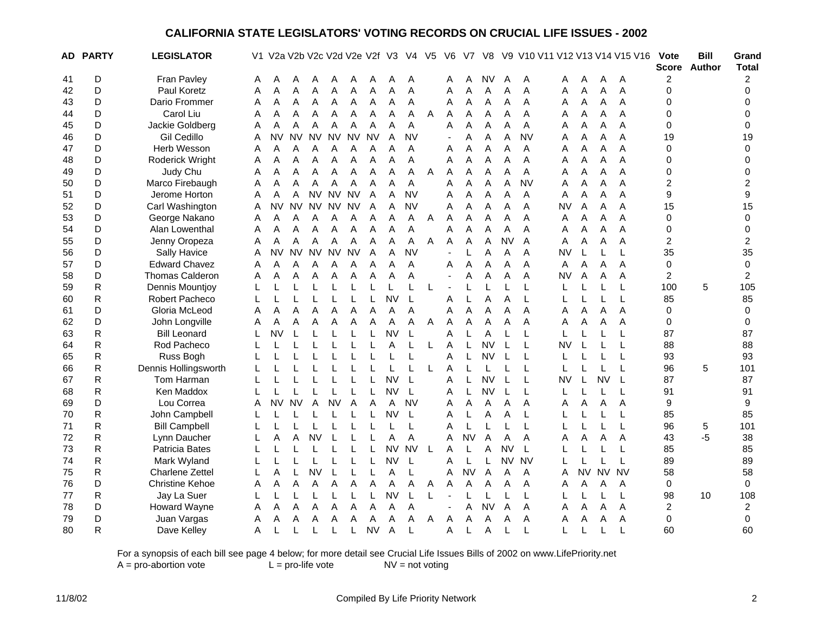|    | <b>AD PARTY</b> | <b>LEGISLATOR</b>      |   | V1 V2a V2b V2c V2d V2e V2f V3 |             |           |           |           |           |           | V4        | V5 | V6             | V7        | V8        | V9          |             |           |           |             | V10 V11 V12 V13 V14 V15 V16 | <b>Vote</b>    | <b>Bill</b><br>Score Author | Grand<br><b>Total</b>   |
|----|-----------------|------------------------|---|-------------------------------|-------------|-----------|-----------|-----------|-----------|-----------|-----------|----|----------------|-----------|-----------|-------------|-------------|-----------|-----------|-------------|-----------------------------|----------------|-----------------------------|-------------------------|
| 41 | D               | Fran Pavley            | A | Α                             | A           |           |           |           |           |           | A         |    | Α              | A         | <b>NV</b> | A           | A           | A         | A         | A           | A                           | $\overline{c}$ |                             | 2                       |
| 42 | D               | Paul Koretz            | A | A                             | A           | A         | A         | А         | A         | Α         | A         |    | A              | A         | A         | A           | A           | A         | Α         | Α           | A                           | 0              |                             | $\mathbf{0}$            |
| 43 | D               | Dario Frommer          | A | Α                             | Α           | Α         | Α         | Α         | Α         | Α         | Α         |    | Α              | Α         | Α         | Α           | Α           | Α         | Α         | Α           | Α                           | 0              |                             | $\Omega$                |
| 44 | D               | Carol Liu              | Α | Α                             | Α           | Α         | Α         | A         | Α         | Α         | Α         | A  | Α              | Α         | Α         | A           | Α           | Α         | Α         | Α           | A                           | 0              |                             | 0                       |
| 45 | D               | Jackie Goldberg        | Α | A                             | A           | A         | A         | Α         | A         | Α         | A         |    | Α              | Α         | A         | A           | A           | A         | A         | A           | A                           | 0              |                             | 0                       |
| 46 | D               | Gil Cedillo            | Α | <b>NV</b>                     | <b>NV</b>   | <b>NV</b> | <b>NV</b> | <b>NV</b> | <b>NV</b> | Α         | <b>NV</b> |    | $\blacksquare$ | Α         | Α         | Α           | <b>NV</b>   | Α         | Α         | А           | A                           | 19             |                             | 19                      |
| 47 | D               | Herb Wesson            | Α | Α                             | Α           | Α         | Α         | Α         | Α         | Α         | Α         |    | Α              | Α         | Α         | A           | A           | Α         | Α         | Α           | A                           | 0              |                             | 0                       |
| 48 | D               | Roderick Wright        | Α | А                             | Α           | Α         | Α         | Α         | Α         | Α         | Α         |    | Α              | A         | A         | A           | Α           | Α         | Α         | Α           | A                           | 0              |                             | 0                       |
| 49 | D               | Judy Chu               | A | Α                             | A           | A         | Α         | Α         | A         | A         | Α         | A  | Α              | Α         | A         | A           | A           | A         | A         | A           | A                           | 0              |                             | 0                       |
| 50 | D               | Marco Firebaugh        | A | A                             | A           | A         | A         | A         | A         | Α         | A         |    | Α              | Α         | Α         | A           | <b>NV</b>   | A         | Α         | A           | A                           | $\overline{c}$ |                             | $\overline{c}$          |
| 51 | D               | Jerome Horton          | A | A                             | A           |           | NV NV NV  |           | A         | Α         | <b>NV</b> |    | Α              | Α         | A         | A           | A           | A         | Α         | Α           | A                           | 9              |                             | 9                       |
| 52 | D               | Carl Washington        | Α | <b>NV</b>                     | <b>NV</b>   | <b>NV</b> | <b>NV</b> | <b>NV</b> | A         | Α         | <b>NV</b> |    | Α              | Α         | A         | A           | A           | <b>NV</b> | Α         | A           | A                           | 15             |                             | 15                      |
| 53 | D               | George Nakano          | Α | Α                             | Α           | A         | Α         | Α         | Α         | Α         | Α         | Α  | Α              | A         | Α         | A           | Α           | Α         | Α         | A           | A                           | 0              |                             | 0                       |
| 54 | D               | Alan Lowenthal         | Α | Α                             | Α           | Α         | Α         | Α         | A         | Α         | Α         |    | Α              | Α         | Α         | A           | Α           | Α         | Α         | Α           | A                           | 0              |                             | 0                       |
| 55 | D               | Jenny Oropeza          | Α | Α                             | Α           | A         | Α         | Α         | Α         | Α         | A         | Α  | Α              | Α         | Α         | <b>NV</b>   | A           | Α         | Α         | A           | A                           | $\overline{2}$ |                             | $\overline{c}$          |
| 56 | D               | Sally Havice           | A | <b>NV</b>                     | <b>NV</b>   | <b>NV</b> | <b>NV</b> | <b>NV</b> | A         | Α         | <b>NV</b> |    | $\blacksquare$ | L         | A         | A           | A           | <b>NV</b> | L         | L           | L                           | 35             |                             | 35                      |
| 57 | D               | <b>Edward Chavez</b>   | A | A                             | A           | A         | Α         | Α         | A         | A         | A         |    | A              | A         | A         | A           | A           | Α         | Α         | A           | A                           | $\mathbf 0$    |                             | $\pmb{0}$               |
| 58 | D               | <b>Thomas Calderon</b> | A | A                             | A           | A         | A         | Α         | A         | A         | A         |    | $\sim$         | Α         | Α         | A           | A           | <b>NV</b> | A         | A           | A                           | $\overline{2}$ |                             | $\overline{c}$          |
| 59 | ${\sf R}$       | Dennis Mountjoy        |   |                               | L           |           |           |           |           | L         |           | L  | $\sim$         | L         | L         | $\mathsf L$ | L           |           |           | L           | L                           | 100            | 5                           | 105                     |
| 60 | R               | <b>Robert Pacheco</b>  |   |                               | L           |           | L         | L         | L         | <b>NV</b> | L         |    | Α              | L         | A         | A           | L           |           | L         | L           | L                           | 85             |                             | 85                      |
| 61 | D               | Gloria McLeod          | A | A                             | Α           | A         | Α         | Α         | Α         | Α         | A         |    | Α              | Α         | A         | A           | A           | Α         | Α         | A           | A                           | 0              |                             | 0                       |
| 62 | D               | John Longville         | Α | A                             | A           | A         | A         | Α         | A         | A         | A         | Α  | Α              | Α         | Α         | A           | Α           | Α         | Α         | Α           | A                           | 0              |                             | 0                       |
| 63 | ${\sf R}$       | <b>Bill Leonard</b>    |   | <b>NV</b>                     | L           |           |           |           |           | <b>NV</b> | L         |    | Α              | L         | A         |             | L           |           |           | L           | L                           | 87             |                             | 87                      |
| 64 | $\mathsf R$     | Rod Pacheco            |   |                               |             |           |           |           |           | Α         | L         | L  | Α              | L         | <b>NV</b> | L           | L           | <b>NV</b> | L         | L           | L                           | 88             |                             | 88                      |
| 65 | ${\sf R}$       | Russ Bogh              |   |                               |             |           |           |           |           |           |           |    | A              | L         | <b>NV</b> | L           | L           |           |           | L           | L                           | 93             |                             | 93                      |
| 66 | R               | Dennis Hollingsworth   |   |                               |             |           |           |           |           |           |           | L  | A              | L         | L         |             | L           |           |           |             | L                           | 96             | 5                           | 101                     |
| 67 | $\mathsf R$     | Tom Harman             |   |                               |             |           |           |           |           | <b>NV</b> | L         |    | Α              | L         | <b>NV</b> |             | L           | <b>NV</b> | L         | <b>NV</b>   | $\mathsf{L}$                | 87             |                             | 87                      |
| 68 | $\mathsf R$     | Ken Maddox             |   |                               |             |           |           |           |           | <b>NV</b> | L         |    | Α              | L         | <b>NV</b> |             | $\mathsf L$ |           |           |             | L                           | 91             |                             | 91                      |
| 69 | D               | Lou Correa             | A | <b>NV</b>                     | <b>NV</b>   | A         | <b>NV</b> | Α         | A         | Α         | <b>NV</b> |    | Α              | Α         | Α         | Α           | Α           | Α         | Α         | А           | Α                           | 9              |                             | 9                       |
| 70 | $\mathsf R$     | John Campbell          |   |                               |             |           |           |           |           | <b>NV</b> | L         |    | Α              | L         | Α         | A           | $\mathsf L$ |           |           |             | L                           | 85             |                             | 85                      |
| 71 | $\mathsf R$     | <b>Bill Campbell</b>   |   |                               |             |           |           |           |           |           | L         |    | Α              | L         |           |             | L           |           |           | L           | L                           | 96             | 5                           | 101                     |
| 72 | R               | Lynn Daucher           |   | Α                             | Α           | <b>NV</b> | L         |           |           | Α         | Α         |    | Α              | <b>NV</b> | A         | A           | Α           | Α         | Α         | A           | A                           | 43             | $-5$                        | 38                      |
| 73 | $\mathsf R$     | Patricia Bates         |   |                               |             |           |           |           | L         | <b>NV</b> | <b>NV</b> | L  | Α              | L         | A         | <b>NV</b>   | L           |           | L         | L           | L                           | 85             |                             | 85                      |
| 74 | $\mathsf R$     | Mark Wyland            |   |                               | $\mathsf L$ |           |           |           |           | <b>NV</b> | L         |    | A              | L         | L         | <b>NV</b>   | <b>NV</b>   |           |           | $\mathsf L$ | L                           | 89             |                             | 89                      |
| 75 | R               | <b>Charlene Zettel</b> |   | A                             | L           | <b>NV</b> | L         |           |           | A         | L         |    | Α              | <b>NV</b> | A         | A           | A           | A         | <b>NV</b> | <b>NV</b>   | <b>NV</b>                   | 58             |                             | 58                      |
| 76 | D               | <b>Christine Kehoe</b> | Α | Α                             | Α           | Α         | Α         | Α         | Α         | Α         | Α         | Α  | Α              | Α         | A         | A           | Α           | Α         | A         | Α           | Α                           | $\mathbf 0$    |                             | $\mathbf 0$             |
| 77 | R               | Jay La Suer            | L | L                             | L           | L         | L         | L         | L         | <b>NV</b> | L         | L  |                | L         | L         | L           | L           | L         | L         | L           | L                           | 98             | 10                          | 108                     |
| 78 | D               | <b>Howard Wayne</b>    | Α | Α                             | Α           | Α         | Α         | Α         | Α         | Α         | Α         |    |                | Α         | <b>NV</b> | A           | Α           | A         | Α         | A           | A                           | 2              |                             | $\overline{\mathbf{c}}$ |
| 79 | D               | Juan Vargas            | Α | Α                             | A           | A         | Α         | А         | Α         | Α         | Α         | Α  | Α              | Α         | Α         | Α           | Α           | Α         | Α         | Α           | Α                           | $\mathbf 0$    |                             | 0                       |
| 80 | R               | Dave Kelley            | A |                               | L           |           |           |           | <b>NV</b> | Α         | L         |    | Α              | L         | A         |             | L           | L         |           |             | L                           | 60             |                             | 60                      |

For a synopsis of each bill see page 4 below; for more detail see Crucial Life Issues Bills of 2002 on www.LifePriority.net  $A = pro$ -abortion vote  $L = pro$ -life vote  $NV = not$  voting  $A = pro-abortion vote$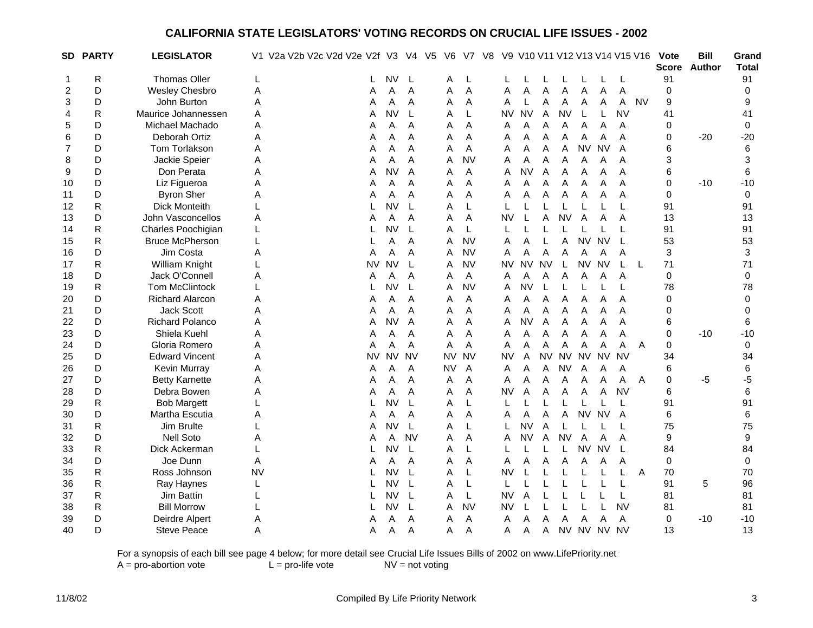|              | SD PARTY     | <b>LEGISLATOR</b>      |           | V1 V2a V2b V2c V2d V2e V2f V3 |           |           | V4 V5     | V6        | V7        | V8 |           |           |           |           |                |                |                | V9 V10 V11 V12 V13 V14 V15 V16 | Vote        | <b>Bill</b><br>Score Author | Grand<br><b>Total</b> |
|--------------|--------------|------------------------|-----------|-------------------------------|-----------|-----------|-----------|-----------|-----------|----|-----------|-----------|-----------|-----------|----------------|----------------|----------------|--------------------------------|-------------|-----------------------------|-----------------------|
| $\mathbf{1}$ | R            | <b>Thomas Oller</b>    | L         |                               | L         | <b>NV</b> | L         | A         | L         |    |           |           |           |           |                |                |                |                                | 91          |                             | 91                    |
| 2            | D            | <b>Wesley Chesbro</b>  | Α         |                               | A         | Α         | A         | Α         | A         |    | A         | A         | Α         | Α         | Α              | Α              | A              |                                | $\mathbf 0$ |                             | $\mathbf 0$           |
| 3            | D            | John Burton            | Α         |                               | Α         | Α         | A         | Α         | Α         |    | Α         |           | A         | Α         | Α              | Α              | A              | <b>NV</b>                      | 9           |                             | 9                     |
| 4            | R            | Maurice Johannessen    | Α         |                               | Α         | <b>NV</b> | L         | Α         | L         |    | <b>NV</b> | <b>NV</b> | Α         | <b>NV</b> | L              | L              | <b>NV</b>      |                                | 41          |                             | 41                    |
| 5            | D            | Michael Machado        | Α         |                               | Α         | Α         | A         | Α         | Α         |    | Α         | A         | A         | Α         | Α              | A              | Α              |                                | 0           |                             | 0                     |
| 6            | D            | Deborah Ortiz          | Α         |                               | A         | Α         | Α         | Α         | Α         |    | Α         | Α         | Α         | Α         | Α              | A              | Α              |                                | 0           | $-20$                       | $-20$                 |
| 7            | D            | Tom Torlakson          | Α         |                               | A         | Α         | A         | Α         | A         |    | Α         | A         | A         | A         | <b>NV</b>      | <b>NV</b>      | A              |                                | 6           |                             | 6                     |
| 8            | D            | Jackie Speier          | Α         |                               | A         | Α         | A         | A         | <b>NV</b> |    | Α         | Α         | Α         | Α         | $\overline{A}$ | Α              | A              |                                | 3           |                             | 3                     |
| 9            | D            | Don Perata             | Α         |                               | A         | <b>NV</b> | A         | Α         | Α         |    | Α         | <b>NV</b> | A         | A         | A              | A              | A              |                                | 6           |                             | 6                     |
| 10           | D            | Liz Figueroa           | Α         |                               | A         | Α         | A         | Α         | Α         |    | Α         | Α         | Α         | Α         | $\overline{A}$ | Α              | A              |                                | 0           | $-10$                       | $-10$                 |
| 11           | D            | <b>Byron Sher</b>      | Α         |                               | Α         | Α         | A         | Α         | Α         |    | Α         | Α         | Α         | Α         | A              | Α              | Α              |                                | $\Omega$    |                             | $\mathbf 0$           |
| 12           | $\mathsf R$  | <b>Dick Monteith</b>   | L         |                               | L         | <b>NV</b> | L         | Α         | L         |    | L         |           |           | L         | L              | L              | L              |                                | 91          |                             | 91                    |
| 13           | D            | John Vasconcellos      | Α         |                               | Α         | Α         | A         | Α         | A         |    | <b>NV</b> | L         | Α         | <b>NV</b> | A              | A              | Α              |                                | 13          |                             | 13                    |
| 14           | $\mathsf{R}$ | Charles Poochigian     | L         |                               |           | <b>NV</b> | L         | A         | L         |    |           |           |           |           |                |                | $\mathsf{L}$   |                                | 91          |                             | 91                    |
| 15           | R            | <b>Bruce McPherson</b> | L         |                               |           | Α         | A         | A         | <b>NV</b> |    | Α         | A         | L         | A         | <b>NV</b>      | <b>NV</b>      | $\mathsf{L}$   |                                | 53          |                             | 53                    |
| 16           | D            | Jim Costa              | Α         |                               | A         | Α         | A         | A         | <b>NV</b> |    | A         | A         | A         | Α         | $\mathsf{A}$   | Α              | A              |                                | 3           |                             | 3                     |
| 17           | $\mathsf R$  | William Knight         | L         |                               | NV        | <b>NV</b> | L         | A         | <b>NV</b> |    | NV        | <b>NV</b> | <b>NV</b> | L         | <b>NV</b>      | <b>NV</b>      | L              | -L                             | 71          |                             | 71                    |
| 18           | D            | Jack O'Connell         | Α         |                               | Α         | Α         | A         | Α         | A         |    | Α         | A         | A         | Α         | Α              | Α              | A              |                                | 0           |                             | 0                     |
| 19           | ${\sf R}$    | <b>Tom McClintock</b>  | L         |                               |           | <b>NV</b> | L         | Α         | <b>NV</b> |    | Α         | <b>NV</b> |           | L         | L              | L              | L              |                                | 78          |                             | 78                    |
| 20           | D            | <b>Richard Alarcon</b> | Α         |                               | A         | Α         | A         | Α         | Α         |    | Α         | A         | A         | A         | A              | Α              | A              |                                | 0           |                             | 0                     |
| 21           | D            | <b>Jack Scott</b>      | Α         |                               | Α         | Α         | A         | Α         | A         |    | Α         | Α         | A         | A         | A              | A              | A              |                                | 0           |                             | 0                     |
| 22           | D            | <b>Richard Polanco</b> | Α         |                               | Α         | NV        | A         | Α         | A         |    | Α         | <b>NV</b> | A         | A         | A              | A              | A              |                                | 6           |                             | 6                     |
| 23           | D            | Shiela Kuehl           | Α         |                               | Α         | Α         | A         | Α         | Α         |    | A         | A         | A         | Α         | $\mathsf{A}$   | A              | A              |                                | 0           | $-10$                       | $-10$                 |
| 24           | D            | Gloria Romero          | Α         |                               | A         | А         | A         | A         | A         |    | Α         | A         | A         | A         | Α              | Α              | A              | Α                              | 0           |                             | 0                     |
| 25           | D            | <b>Edward Vincent</b>  | Α         |                               | <b>NV</b> | <b>NV</b> | <b>NV</b> | <b>NV</b> | <b>NV</b> |    | NV        | A         | <b>NV</b> |           | NV NV          | <b>NV</b>      | <b>NV</b>      |                                | 34          |                             | 34                    |
| 26           | D            | Kevin Murray           | Α         |                               | A         | А         | A         | NV        | A         |    | Α         | A         | A         | <b>NV</b> | Α              | Α              | A              |                                | 6           |                             | 6                     |
| 27           | D            | <b>Betty Karnette</b>  | Α         |                               | А         | A         | Α         | Α         | A         |    | Α         | Α         | A         | A         | Α              | A              | A              | A                              | $\Omega$    | -5                          | $-5$                  |
| 28           | D            | Debra Bowen            | Α         |                               | Α         | Α         | A         | A         | A         |    | <b>NV</b> | A         | A         | Α         | $\overline{A}$ | $\overline{A}$ | <b>NV</b>      |                                | 6           |                             | 6                     |
| 29           | R            | <b>Bob Margett</b>     | L         |                               |           | <b>NV</b> | L         | A         | L         |    | L         |           |           |           | L              | L              | L              |                                | 91          |                             | 91                    |
| 30           | D            | Martha Escutia         | Α         |                               | Α         | A         | A         | Α         | A         |    | Α         | Α         | Α         | Α         | <b>NV</b>      | <b>NV</b>      | $\overline{A}$ |                                | 6           |                             | $\,6$                 |
| 31           | R            | Jim Brulte             | L         |                               | A         | <b>NV</b> | L         | A         | L         |    |           | <b>NV</b> | A         | L         | L              |                | L              |                                | 75          |                             | 75                    |
| 32           | D            | <b>Nell Soto</b>       | Α         |                               | A         | Α         | <b>NV</b> | Α         | A         |    | Α         | <b>NV</b> | A         | <b>NV</b> | A              | A              | A              |                                | 9           |                             | 9                     |
| 33           | $\mathsf R$  | Dick Ackerman          | L         |                               |           | <b>NV</b> | L         | A         | L         |    |           |           |           | L         | <b>NV</b>      | <b>NV</b>      | $\mathsf{L}$   |                                | 84          |                             | 84                    |
| 34           | D            | Joe Dunn               | A         |                               | Α         | Α         | Α         | Α         | A         |    | Α         | Α         | Α         | Α         | A              | Α              | A              |                                | $\pmb{0}$   |                             | $\pmb{0}$             |
| 35           | $\mathsf R$  | Ross Johnson           | <b>NV</b> |                               |           | <b>NV</b> | L         | A         | L         |    | NV        | L         |           | L         | L              | L              | L              | A                              | 70          |                             | 70                    |
| 36           | R            | Ray Haynes             | L         |                               |           | <b>NV</b> | L         | A         | L         |    | L         |           | L         | L         | L              | L              | L              |                                | 91          | 5                           | 96                    |
| 37           | R            | Jim Battin             |           |                               |           | NV        | L         | A         | L         |    | <b>NV</b> | A         |           | L         | L              | L              | L              |                                | 81          |                             | 81                    |
| 38           | $\mathsf{R}$ | <b>Bill Morrow</b>     | L         |                               |           | <b>NV</b> | L         | Α         | <b>NV</b> |    | <b>NV</b> | L         |           | L         | L              | L              | <b>NV</b>      |                                | 81          |                             | 81                    |
| 39           | D            | Deirdre Alpert         | Α         |                               | A         | Α         | A         | Α         | A         |    | A         | A         | A         | Α         | A              | A              | A              |                                | 0           | $-10$                       | $-10$                 |
| 40           | D            | <b>Steve Peace</b>     | Α         |                               | A         | Α         | Α         | Α         | Α         |    | Α         | Α         | A         |           |                | NV NV NV NV    |                |                                | 13          |                             | 13                    |

For a synopsis of each bill see page 4 below; for more detail see Crucial Life Issues Bills of 2002 on www.LifePriority.net  $A = pro$ -abortion vote  $L = pro$ -life vote  $NV = not$  voting

 $A = pro-abortion vote$